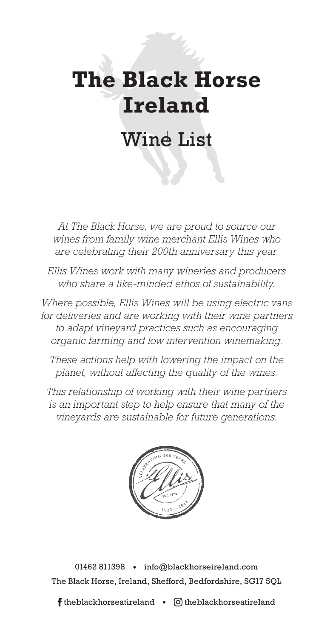# **The Black Horse Ireland**

## Wine List

*At The Black Horse, we are proud to source our wines from family wine merchant Ellis Wines who are celebrating their 200th anniversary this year.*

*Ellis Wines work with many wineries and producers who share a like-minded ethos of sustainability.*

*Where possible, Ellis Wines will be using electric vans for deliveries and are working with their wine partners to adapt vineyard practices such as encouraging organic farming and low intervention winemaking.*

*These actions help with lowering the impact on the planet, without affecting the quality of the wines.*

*This relationship of working with their wine partners is an important step to help ensure that many of the vineyards are sustainable for future generations.*



01462 811398 · info@blackhorseireland.com The Black Horse, Ireland, Shefford, Bedfordshire, SG17 5QL

**f** theblackhorseatireland  $\bullet$   $\heartsuit$  theblackhorseatireland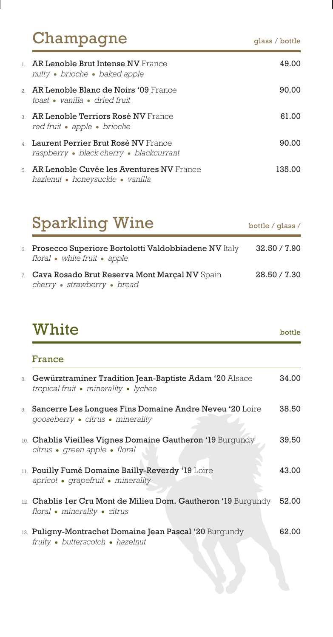| Champagne                                                                                  | glass / bottle |
|--------------------------------------------------------------------------------------------|----------------|
| $\perp$ - AR Lenoble Brut Intense NV France.<br>nutty • brioche • baked apple              | 49.00          |
| 2 - <b>AR Lenoble Blanc de Noirs '09</b> France<br>toast • vanilla • dried fruit           | 90.00          |
| $_3$ – $\,$ AR Lenoble Terriors Rosé NV France.<br>red fruit • apple • brioche             | 61.00          |
| 4 - Laurent Perrier Brut Rosé NV France<br>raspberry • black cherry • blackcurrant         | 90.00          |
| $_{5}$ – $\,$ AR Lenoble Cuvée les Aventures NV France<br>hazlenut • honeysuckle • vanilla | 135.00         |

## Sparkling Wine bottle / glass / 6. Prosecco Superiore Bortolotti Valdobbiadene NV Italy 32.50 / 7.90 *floral white fruit apple* 7. Cava Rosado Brut Reserva Mont Marçal NV Spain 28.50 / 7.30 *cherry strawberry bread*

|    | White                                                                                                | bottle |
|----|------------------------------------------------------------------------------------------------------|--------|
|    | France                                                                                               |        |
| 8. | Gewürztraminer Tradition Jean-Baptiste Adam '20 Alsace<br>tropical fruit • minerality • lychee       | 34.00  |
|    | 9. Sancerre Les Longues Fins Domaine Andre Neveu '20 Loire<br>gooseberry • citrus • minerality       | 38.50  |
|    | 10. Chablis Vieilles Vignes Domaine Gautheron '19 Burgundy<br>citrus • green apple • floral          | 39.50  |
|    | 11. Pouilly Fumé Domaine Bailly-Reverdy '19 Loire<br>apricot • grapefruit • minerality               | 43.00  |
|    | 12. Chablis ler Cru Mont de Milieu Dom. Gautheron '19 Burgundy 52.00<br>floral • minerality • citrus |        |
|    | 13. Puligny-Montrachet Domaine Jean Pascal '20 Burgundy<br>fruity • butterscotch • hazelnut          | 62.00  |
|    |                                                                                                      |        |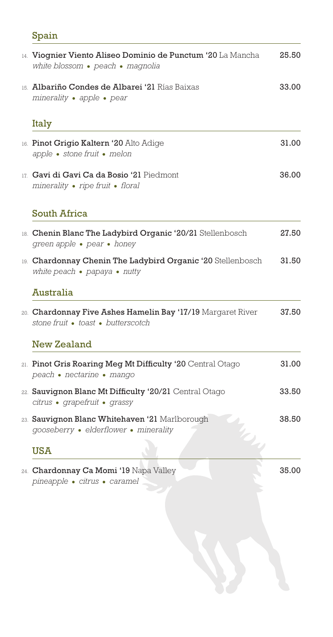## Spain

| 14. Viognier Viento Aliseo Dominio de Punctum '20 La Mancha<br>white blossom • peach • magnolia             | 25.50 |
|-------------------------------------------------------------------------------------------------------------|-------|
| 15. Albariño Condes de Albarei '21 Rías Baixas<br>minerality • apple • pear                                 | 33.00 |
| Italy                                                                                                       |       |
| 16. Pinot Grigio Kaltern '20 Alto Adige<br>apple • stone fruit • melon                                      | 31.00 |
| 17. Gavi di Gavi Ca da Bosio '21 Piedmont<br>minerality • ripe fruit • floral                               | 36.00 |
| <b>South Africa</b>                                                                                         |       |
| 18. Chenin Blanc The Ladybird Organic '20/21 Stellenbosch<br>green apple • pear • honey                     | 27.50 |
| 19. Chardonnay Chenin The Ladybird Organic '20 Stellenbosch<br>white peach $\bullet$ papaya $\bullet$ nutty | 31.50 |
| <b>Australia</b>                                                                                            |       |
| 20. Chardonnay Five Ashes Hamelin Bay '17/19 Margaret River<br>stone fruit • toast • butterscotch           | 37.50 |
| <b>New Zealand</b>                                                                                          |       |
| 21. Pinot Gris Roaring Meg Mt Difficulty '20 Central Otago<br>peach • nectarine • mango                     | 31.00 |
| 22. Sauvignon Blanc Mt Difficulty '20/21 Central Otago<br>citrus · grapefruit · grassy                      | 33.50 |
| 23. Sauvignon Blanc Whitehaven '21 Marlborough<br>gooseberry · elderflower · minerality                     | 38.50 |
| <b>USA</b>                                                                                                  |       |
| 24. Chardonnay Ca Momi '19 Napa Valley<br>pineapple · citrus · caramel                                      | 35.00 |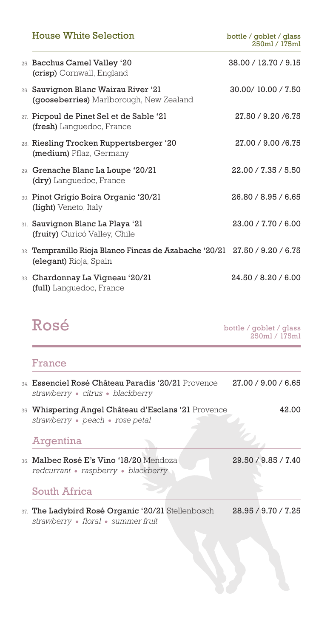| <b>House White Selection</b>                                                                         | bottle / goblet / glass<br>250ml / 175ml |
|------------------------------------------------------------------------------------------------------|------------------------------------------|
| 25. Bacchus Camel Valley '20<br>(crisp) Cornwall, England                                            | 38.00 / 12.70 / 9.15                     |
| 26. Sauvignon Blanc Wairau River '21<br>(gooseberries) Marlborough, New Zealand                      | 30.00/10.00 / 7.50                       |
| 27. Picpoul de Pinet Sel et de Sable '21<br>(fresh) Languedoc, France                                | 27.50 / 9.20 / 6.75                      |
| 28. Riesling Trocken Ruppertsberger '20<br>(medium) Pflaz, Germany                                   | 27.00 / 9.00 / 6.75                      |
| 29. Grenache Blanc La Loupe '20/21<br>(dry) Languedoc, France                                        | 22.00 / 7.35 / 5.50                      |
| 30. Pinot Grigio Boira Organic '20/21<br>(light) Veneto, Italy                                       | 26.80 / 8.95 / 6.65                      |
| 31. Sauvignon Blanc La Playa '21<br>(fruity) Curicó Valley, Chile                                    | 23.00 / 7.70 / 6.00                      |
| 32. Tempranillo Rioja Blanco Fincas de Azabache '20/21 27.50 / 9.20 / 6.75<br>(elegant) Rioja, Spain |                                          |
| 33. Chardonnay La Vigneau '20/21<br>(full) Lanquedoc, France                                         | 24.50 / 8.20 / 6.00                      |

 $\textbf{Ros\'e}$  bottle / goblet / glass 250ml / 175ml

## France

| 34 Essenciel Rosé Château Paradis '20/21 Provence<br>strawberry · citrus · blackberry   | 27.00 / 9.00 / 6.65 |
|-----------------------------------------------------------------------------------------|---------------------|
| 35 Whispering Angel Château d'Esclans '21 Provence<br>strawberry • peach • rose petal   | 42.00               |
| Argentina                                                                               |                     |
| 36. Malbec Rosé E's Vino '18/20 Mendoza<br>redcurrant • raspberry • blackberry          | 29.50 / 9.85 / 7.40 |
| <b>South Africa</b>                                                                     |                     |
| 37. The Ladybird Rosé Organic '20/21 Stellenbosch<br>strawberry • floral • summer fruit | 28.95 / 9.70 / 7.25 |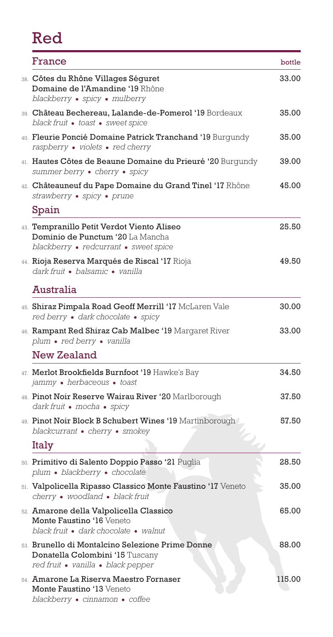## Red

| France                                                                                                                    | bottle |
|---------------------------------------------------------------------------------------------------------------------------|--------|
| 38. Côtes du Rhône Villages Séguret<br>Domaine de l'Amandine '19 Rhône<br>blackberry • spicy • mulberry                   | 33.00  |
| 39. Château Bechereau, Lalande-de-Pomerol '19 Bordeaux<br>black fruit · toast · sweet spice                               | 35.00  |
| 40. Fleurie Poncié Domaine Patrick Tranchand '19 Burgundy<br>raspberry • violets • red cherry                             | 35.00  |
| 41. Hautes Côtes de Beaune Domaine du Prieuré '20 Burgundy<br>summer berry • cherry • spicy                               | 39.00  |
| 42. Châteauneuf du Pape Domaine du Grand Tinel '17 Rhône<br>strawberry · spicy · prune                                    | 45.00  |
| Spain                                                                                                                     |        |
| 43. Tempranillo Petit Verdot Viento Aliseo<br>Dominio de Punctum '20 La Mancha<br>blackberry • redcurrant • sweet spice   | 25.50  |
| 44. Rioja Reserva Marqués de Riscal '17 Rioja<br>dark fruit · balsamic · vanilla                                          | 49.50  |
| <b>Australia</b>                                                                                                          |        |
| 45. Shiraz Pimpala Road Geoff Merrill '17 McLaren Vale<br>red berry · dark chocolate · spicy                              | 30.00  |
| 46. Rampant Red Shiraz Cab Malbec '19 Margaret River<br>plum • red berry • vanilla                                        | 33.00  |
| <b>New Zealand</b>                                                                                                        |        |
| 47. Merlot Brookfields Burnfoot '19 Hawke's Bay<br>jammy · herbaceous · toast                                             | 34.50  |
| 48. Pinot Noir Reserve Wairau River '20 Marlborough<br>dark fruit • mocha • spicy                                         | 37.50  |
| 49. Pinot Noir Block B Schubert Wines '19 Martinborough<br>blackcurrant • cherry • smokey                                 | 57.50  |
| Italy                                                                                                                     |        |
| 50. Primitivo di Salento Doppio Passo '21 Puglia<br>plum · blackberry · chocolate                                         | 28.50  |
| 51. Valpolicella Ripasso Classico Monte Faustino '17 Veneto<br>cherry • woodland • black fruit                            | 35.00  |
| 52. Amarone della Valpolicella Classico<br>Monte Faustino '16 Veneto<br>black fruit · dark chocolate · walnut             | 65.00  |
| 53. Brunello di Montalcino Selezione Prime Donne<br>Donatella Colombini '15 Tuscany<br>red fruit • vanilla • black pepper | 88.00  |
| 54. Amarone La Riserva Maestro Fornaser<br>Monte Faustino '13 Veneto<br>blackberry • cinnamon • coffee                    | 115.00 |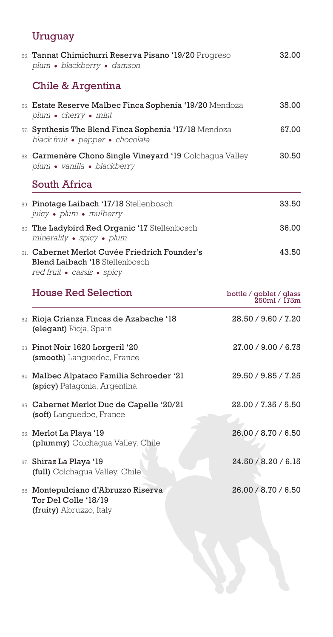## Uruguay

| 55. Tannat Chimichurri Reserva Pisano '19/20 Progreso<br>plum · blackberry · damson                           |                                         | 32.00 |
|---------------------------------------------------------------------------------------------------------------|-----------------------------------------|-------|
| Chile & Argentina                                                                                             |                                         |       |
| 56. Estate Reserve Malbec Finca Sophenia '19/20 Mendoza<br>plum • cherry • mint                               |                                         | 35.00 |
| 57. Synthesis The Blend Finca Sophenia '17/18 Mendoza<br>black fruit • pepper • chocolate                     |                                         | 67.00 |
| 58. Carmenère Chono Single Vineyard '19 Colchagua Valley<br>plum · vanilla · blackberry                       |                                         | 30.50 |
| South Africa                                                                                                  |                                         |       |
| 59. Pinotage Laibach '17/18 Stellenbosch<br>juicy · plum · mulberry                                           |                                         | 33.50 |
| 60. The Ladybird Red Organic '17 Stellenbosch<br>minerality • spicy • plum                                    |                                         | 36.00 |
| 61. Cabernet Merlot Cuvée Friedrich Founder's<br>Blend Laibach '18 Stellenbosch<br>red fruit • cassis • spicy |                                         | 43.50 |
| <b>House Red Selection</b>                                                                                    | bottle / goblet / glass<br>250ml / 175m |       |
| 62. Rioja Crianza Fincas de Azabache '18<br>(elegant) Rioja, Spain                                            | 28.50 / 9.60 / 7.20                     |       |
| 63. Pinot Noir 1620 Lorgeril '20<br>(smooth) Languedoc, France                                                | 27.00 / 9.00 / 6.75                     |       |
| 64. Malbec Alpataco Familia Schroeder '21<br>(spicy) Patagonia, Argentina                                     | 29.50 / 9.85 / 7.25                     |       |
| 65. Cabernet Merlot Duc de Capelle '20/21<br>(soft) Languedoc, France                                         | 22.00 / 7.35 / 5.50                     |       |
| 66. Merlot La Playa '19<br>(plummy) Colchaqua Valley, Chile                                                   | 26.00 / 8.70 / 6.50                     |       |
| 67. Shiraz La Playa '19<br>(full) Colchagua Valley, Chile                                                     | 24.50 / 8.20 / 6.15                     |       |
| 68. Montepulciano d'Abruzzo Riserva<br>Tor Del Colle '18/19<br>(fruity) Abruzzo, Italy                        | 26.00 / 8.70 / 6.50                     |       |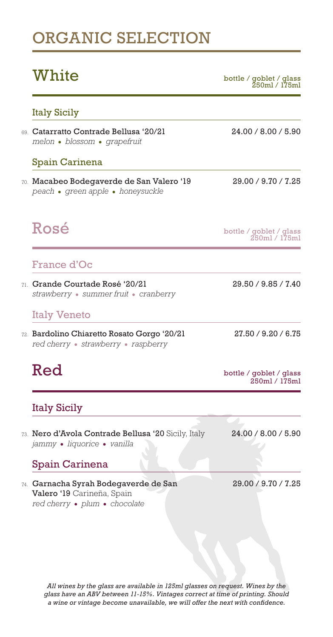## ORGANIC SELECTION

 $\textbf{White}$  / goblet / glass bottle / goblet / glass 250ml / 175ml

### Italy Sicily

69. Catarratto Contrade Bellusa '20/21 24.00 / 8.00 / 5.90 *melon blossom grapefruit*

### Spain Carinena

70. Macabeo Bodegaverde de San Valero '19 29.00 / 9.70 / 7.25 *peach green apple honeysuckle*

 $\text{Ros\'e} \ \text{Ross} \ \text{bottle \texttt{/goblet / glass} \ \text{250ml \texttt{/l75ml}}$ 

## France d'Oc

71. Grande Courtade Rosé '20/21 29.50 / 9.85 / 7.40 *strawberry summer fruit cranberry*

## Italy Veneto

72. Bardolino Chiaretto Rosato Gorgo '20/21 27.50 / 9.20 / 6.75 *red cherry strawberry raspberry*

 $\text{Red}$  bottle / goblet / glass 250ml / 175ml

## Italy Sicily

73. Nero d'Avola Contrade Bellusa '20 Sicily, Italy 24.00 / 8.00 / 5.90 *jammy liquorice vanilla*

## Spain Carinena

74. Garnacha Syrah Bodegaverde de San 29.00 / 9.70 / 7.25 Valero '19 Carineña, Spain *red cherry plum chocolate*

*All wines by the glass are available in 125ml glasses on request. Wines by the glass have an ABV between 11-15%. Vintages correct at time of printing. Should a wine or vintage become unavailable, we will offer the next with confidence.*